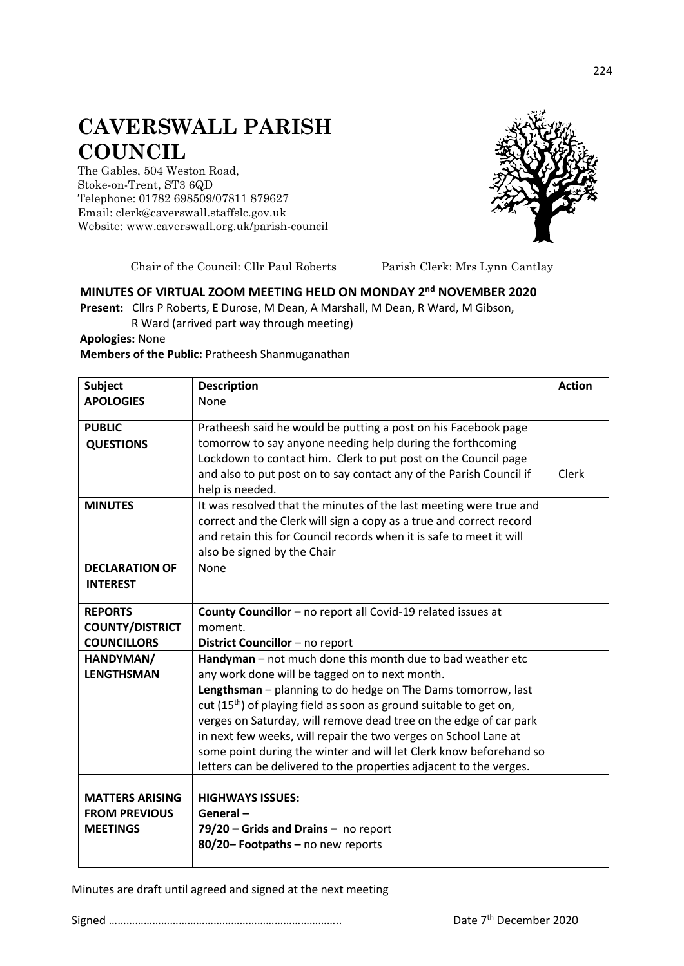## **CAVERSWALL PARISH COUNCIL**

The Gables, 504 Weston Road, Stoke-on-Trent, ST3 6QD Telephone: 01782 698509/07811 879627 Email: clerk@caverswall.staffslc.gov.uk Website: [www.c](http://www.dilhorneparishcouncil.co.uk/)averswall.org.uk/parish-council



Chair of the Council: Cllr Paul Roberts Parish Clerk: Mrs Lynn Cantlay

## **MINUTES OF VIRTUAL ZOOM MEETING HELD ON MONDAY 2 nd NOVEMBER 2020**

**Present:** Cllrs P Roberts, E Durose, M Dean, A Marshall, M Dean, R Ward, M Gibson, R Ward (arrived part way through meeting)

**Apologies:** None

**Members of the Public:** Pratheesh Shanmuganathan

| <b>Subject</b>                    | <b>Description</b>                                                                                                                                                                                                                                                                       | <b>Action</b> |
|-----------------------------------|------------------------------------------------------------------------------------------------------------------------------------------------------------------------------------------------------------------------------------------------------------------------------------------|---------------|
| <b>APOLOGIES</b>                  | None                                                                                                                                                                                                                                                                                     |               |
| <b>PUBLIC</b><br><b>QUESTIONS</b> | Pratheesh said he would be putting a post on his Facebook page<br>tomorrow to say anyone needing help during the forthcoming<br>Lockdown to contact him. Clerk to put post on the Council page<br>and also to put post on to say contact any of the Parish Council if<br>help is needed. | Clerk         |
| <b>MINUTES</b>                    | It was resolved that the minutes of the last meeting were true and<br>correct and the Clerk will sign a copy as a true and correct record<br>and retain this for Council records when it is safe to meet it will<br>also be signed by the Chair                                          |               |
| <b>DECLARATION OF</b>             | None                                                                                                                                                                                                                                                                                     |               |
| <b>INTEREST</b>                   |                                                                                                                                                                                                                                                                                          |               |
| <b>REPORTS</b>                    | County Councillor - no report all Covid-19 related issues at                                                                                                                                                                                                                             |               |
| <b>COUNTY/DISTRICT</b>            | moment.                                                                                                                                                                                                                                                                                  |               |
| <b>COUNCILLORS</b>                | District Councillor - no report                                                                                                                                                                                                                                                          |               |
| HANDYMAN/                         | Handyman - not much done this month due to bad weather etc                                                                                                                                                                                                                               |               |
| <b>LENGTHSMAN</b>                 | any work done will be tagged on to next month.                                                                                                                                                                                                                                           |               |
|                                   | Lengthsman - planning to do hedge on The Dams tomorrow, last                                                                                                                                                                                                                             |               |
|                                   | cut (15 <sup>th</sup> ) of playing field as soon as ground suitable to get on,                                                                                                                                                                                                           |               |
|                                   | verges on Saturday, will remove dead tree on the edge of car park                                                                                                                                                                                                                        |               |
|                                   | in next few weeks, will repair the two verges on School Lane at<br>some point during the winter and will let Clerk know beforehand so                                                                                                                                                    |               |
|                                   | letters can be delivered to the properties adjacent to the verges.                                                                                                                                                                                                                       |               |
|                                   |                                                                                                                                                                                                                                                                                          |               |
| <b>MATTERS ARISING</b>            | <b>HIGHWAYS ISSUES:</b>                                                                                                                                                                                                                                                                  |               |
| <b>FROM PREVIOUS</b>              | General-                                                                                                                                                                                                                                                                                 |               |
| <b>MEETINGS</b>                   | $79/20$ – Grids and Drains – no report                                                                                                                                                                                                                                                   |               |
|                                   | 80/20- Footpaths - no new reports                                                                                                                                                                                                                                                        |               |
|                                   |                                                                                                                                                                                                                                                                                          |               |

Minutes are draft until agreed and signed at the next meeting

Signed …………………………………………………………………….. Date 7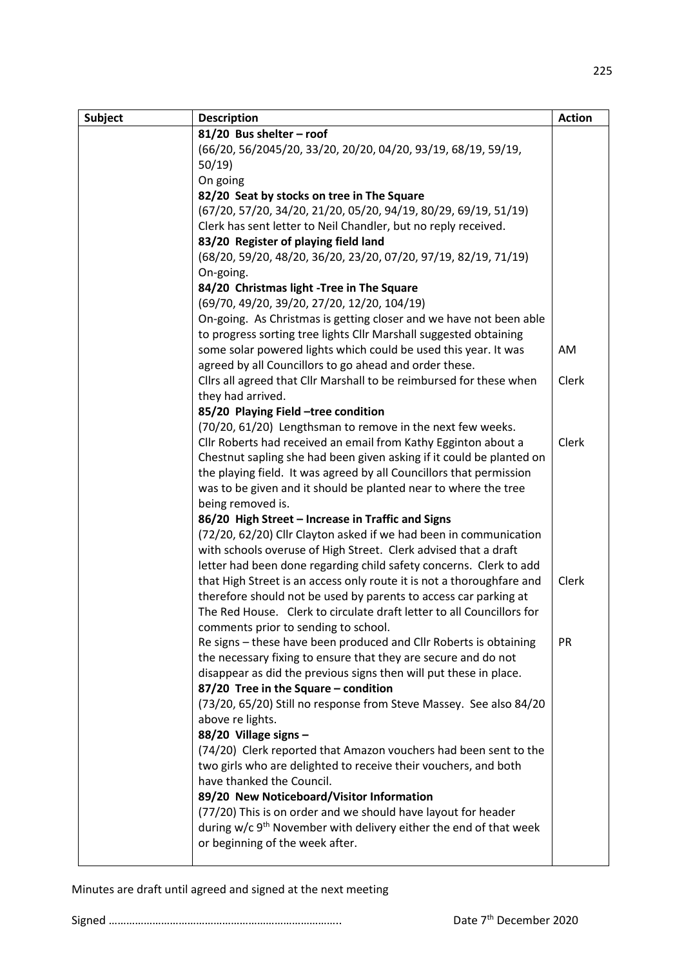| <b>Subject</b> | <b>Description</b>                                                                                                                   | <b>Action</b> |
|----------------|--------------------------------------------------------------------------------------------------------------------------------------|---------------|
|                | 81/20 Bus shelter - roof                                                                                                             |               |
|                | (66/20, 56/2045/20, 33/20, 20/20, 04/20, 93/19, 68/19, 59/19,                                                                        |               |
|                | 50/19                                                                                                                                |               |
|                | On going                                                                                                                             |               |
|                | 82/20 Seat by stocks on tree in The Square                                                                                           |               |
|                | (67/20, 57/20, 34/20, 21/20, 05/20, 94/19, 80/29, 69/19, 51/19)                                                                      |               |
|                | Clerk has sent letter to Neil Chandler, but no reply received.                                                                       |               |
|                | 83/20 Register of playing field land                                                                                                 |               |
|                | (68/20, 59/20, 48/20, 36/20, 23/20, 07/20, 97/19, 82/19, 71/19)                                                                      |               |
|                | On-going.                                                                                                                            |               |
|                | 84/20 Christmas light -Tree in The Square                                                                                            |               |
|                | (69/70, 49/20, 39/20, 27/20, 12/20, 104/19)                                                                                          |               |
|                | On-going. As Christmas is getting closer and we have not been able                                                                   |               |
|                | to progress sorting tree lights Cllr Marshall suggested obtaining                                                                    |               |
|                | some solar powered lights which could be used this year. It was                                                                      | AM            |
|                | agreed by all Councillors to go ahead and order these.                                                                               |               |
|                | Cllrs all agreed that Cllr Marshall to be reimbursed for these when                                                                  | Clerk         |
|                | they had arrived.                                                                                                                    |               |
|                | 85/20 Playing Field -tree condition                                                                                                  |               |
|                | (70/20, 61/20) Lengthsman to remove in the next few weeks.                                                                           |               |
|                | Cllr Roberts had received an email from Kathy Egginton about a                                                                       | Clerk         |
|                | Chestnut sapling she had been given asking if it could be planted on                                                                 |               |
|                | the playing field. It was agreed by all Councillors that permission                                                                  |               |
|                | was to be given and it should be planted near to where the tree                                                                      |               |
|                | being removed is.                                                                                                                    |               |
|                | 86/20 High Street - Increase in Traffic and Signs                                                                                    |               |
|                | (72/20, 62/20) Cllr Clayton asked if we had been in communication<br>with schools overuse of High Street. Clerk advised that a draft |               |
|                | letter had been done regarding child safety concerns. Clerk to add                                                                   |               |
|                | that High Street is an access only route it is not a thoroughfare and                                                                | Clerk         |
|                | therefore should not be used by parents to access car parking at                                                                     |               |
|                | The Red House. Clerk to circulate draft letter to all Councillors for                                                                |               |
|                | comments prior to sending to school.                                                                                                 |               |
|                | Re signs - these have been produced and Cllr Roberts is obtaining                                                                    | <b>PR</b>     |
|                | the necessary fixing to ensure that they are secure and do not                                                                       |               |
|                | disappear as did the previous signs then will put these in place.                                                                    |               |
|                | 87/20 Tree in the Square - condition                                                                                                 |               |
|                | (73/20, 65/20) Still no response from Steve Massey. See also 84/20                                                                   |               |
|                | above re lights.                                                                                                                     |               |
|                | 88/20 Village signs -                                                                                                                |               |
|                | (74/20) Clerk reported that Amazon vouchers had been sent to the                                                                     |               |
|                | two girls who are delighted to receive their vouchers, and both                                                                      |               |
|                | have thanked the Council.                                                                                                            |               |
|                | 89/20 New Noticeboard/Visitor Information                                                                                            |               |
|                | (77/20) This is on order and we should have layout for header                                                                        |               |
|                | during w/c 9 <sup>th</sup> November with delivery either the end of that week                                                        |               |
|                | or beginning of the week after.                                                                                                      |               |
|                |                                                                                                                                      |               |

Minutes are draft until agreed and signed at the next meeting

Signed …………………………………………………………………….. Date 7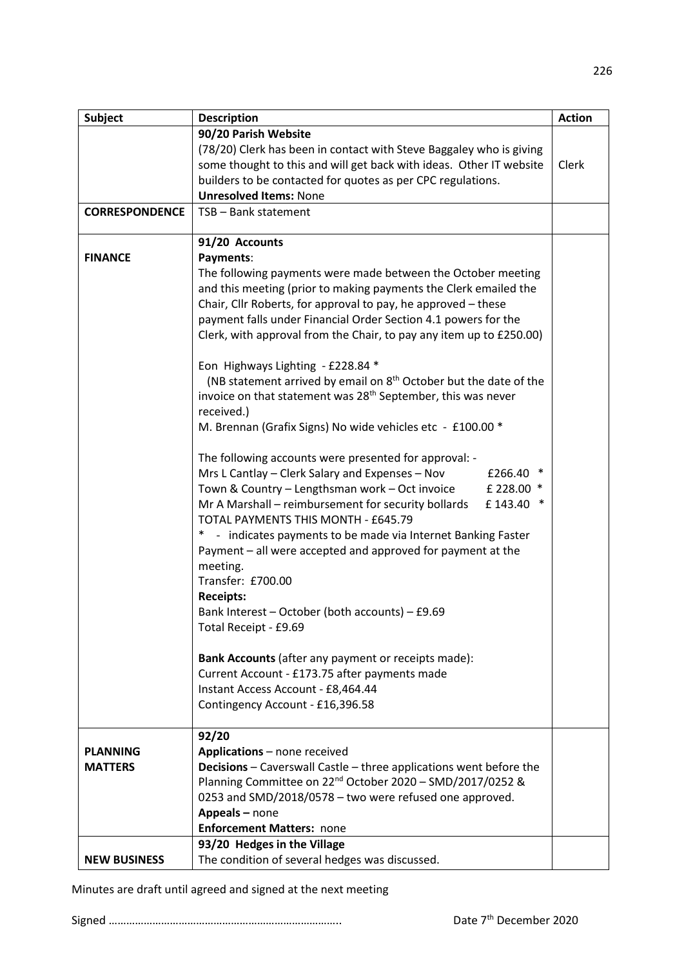| <b>Subject</b>        | <b>Description</b>                                                            | <b>Action</b> |
|-----------------------|-------------------------------------------------------------------------------|---------------|
|                       | 90/20 Parish Website                                                          |               |
|                       | (78/20) Clerk has been in contact with Steve Baggaley who is giving           |               |
|                       | some thought to this and will get back with ideas. Other IT website           | Clerk         |
|                       | builders to be contacted for quotes as per CPC regulations.                   |               |
|                       | <b>Unresolved Items: None</b>                                                 |               |
| <b>CORRESPONDENCE</b> | TSB - Bank statement                                                          |               |
|                       | 91/20 Accounts                                                                |               |
| <b>FINANCE</b>        | Payments:                                                                     |               |
|                       | The following payments were made between the October meeting                  |               |
|                       | and this meeting (prior to making payments the Clerk emailed the              |               |
|                       | Chair, Cllr Roberts, for approval to pay, he approved - these                 |               |
|                       | payment falls under Financial Order Section 4.1 powers for the                |               |
|                       | Clerk, with approval from the Chair, to pay any item up to £250.00)           |               |
|                       |                                                                               |               |
|                       | Eon Highways Lighting - £228.84 *                                             |               |
|                       | (NB statement arrived by email on 8 <sup>th</sup> October but the date of the |               |
|                       | invoice on that statement was 28 <sup>th</sup> September, this was never      |               |
|                       | received.)                                                                    |               |
|                       | M. Brennan (Grafix Signs) No wide vehicles etc - £100.00 *                    |               |
|                       |                                                                               |               |
|                       | The following accounts were presented for approval: -                         |               |
|                       | Mrs L Cantlay - Clerk Salary and Expenses - Nov<br>£266.40                    |               |
|                       | Town & Country - Lengthsman work - Oct invoice<br>£ 228.00 *                  |               |
|                       | Mr A Marshall - reimbursement for security bollards<br>£143.40<br>∗           |               |
|                       | TOTAL PAYMENTS THIS MONTH - £645.79                                           |               |
|                       | * - indicates payments to be made via Internet Banking Faster                 |               |
|                       | Payment - all were accepted and approved for payment at the                   |               |
|                       | meeting.                                                                      |               |
|                       | Transfer: £700.00                                                             |               |
|                       | <b>Receipts:</b>                                                              |               |
|                       | Bank Interest - October (both accounts) - £9.69                               |               |
|                       | Total Receipt - £9.69                                                         |               |
|                       |                                                                               |               |
|                       | Bank Accounts (after any payment or receipts made):                           |               |
|                       | Current Account - £173.75 after payments made                                 |               |
|                       | Instant Access Account - £8,464.44                                            |               |
|                       | Contingency Account - £16,396.58                                              |               |
|                       | 92/20                                                                         |               |
| <b>PLANNING</b>       | Applications - none received                                                  |               |
| <b>MATTERS</b>        | <b>Decisions</b> – Caverswall Castle – three applications went before the     |               |
|                       | Planning Committee on 22 <sup>nd</sup> October 2020 - SMD/2017/0252 &         |               |
|                       | 0253 and SMD/2018/0578 - two were refused one approved.                       |               |
|                       | Appeals - none                                                                |               |
|                       | <b>Enforcement Matters: none</b>                                              |               |
|                       | 93/20 Hedges in the Village                                                   |               |
| <b>NEW BUSINESS</b>   | The condition of several hedges was discussed.                                |               |

Minutes are draft until agreed and signed at the next meeting

Signed …………………………………………………………………….. Date 7